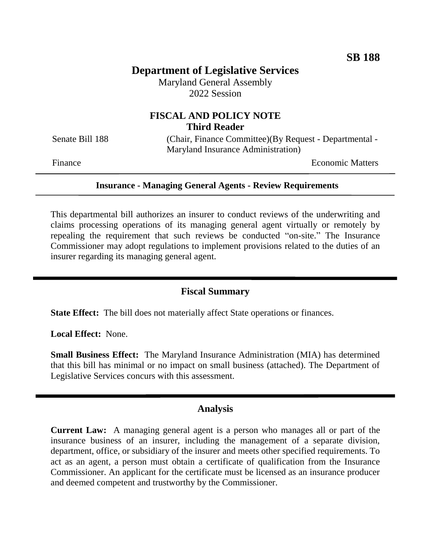# **Department of Legislative Services**

Maryland General Assembly 2022 Session

# **FISCAL AND POLICY NOTE Third Reader**

Senate Bill 188 (Chair, Finance Committee)(By Request - Departmental -Maryland Insurance Administration)

Finance **Exercise Economic Matters** 

### **Insurance - Managing General Agents - Review Requirements**

This departmental bill authorizes an insurer to conduct reviews of the underwriting and claims processing operations of its managing general agent virtually or remotely by repealing the requirement that such reviews be conducted "on-site." The Insurance Commissioner may adopt regulations to implement provisions related to the duties of an insurer regarding its managing general agent.

# **Fiscal Summary**

**State Effect:** The bill does not materially affect State operations or finances.

**Local Effect:** None.

**Small Business Effect:** The Maryland Insurance Administration (MIA) has determined that this bill has minimal or no impact on small business (attached). The Department of Legislative Services concurs with this assessment.

### **Analysis**

**Current Law:** A managing general agent is a person who manages all or part of the insurance business of an insurer, including the management of a separate division, department, office, or subsidiary of the insurer and meets other specified requirements. To act as an agent, a person must obtain a certificate of qualification from the Insurance Commissioner. An applicant for the certificate must be licensed as an insurance producer and deemed competent and trustworthy by the Commissioner.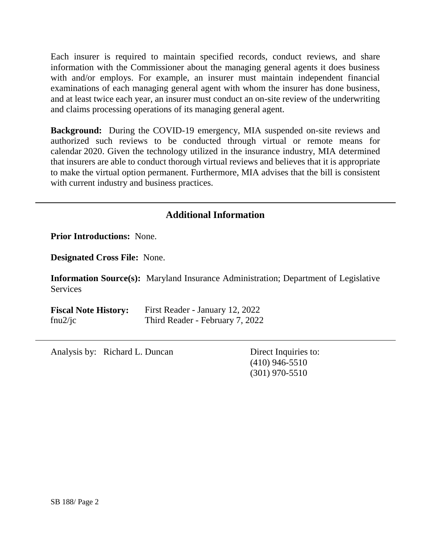Each insurer is required to maintain specified records, conduct reviews, and share information with the Commissioner about the managing general agents it does business with and/or employs. For example, an insurer must maintain independent financial examinations of each managing general agent with whom the insurer has done business, and at least twice each year, an insurer must conduct an on-site review of the underwriting and claims processing operations of its managing general agent.

**Background:** During the COVID-19 emergency, MIA suspended on-site reviews and authorized such reviews to be conducted through virtual or remote means for calendar 2020. Given the technology utilized in the insurance industry, MIA determined that insurers are able to conduct thorough virtual reviews and believes that it is appropriate to make the virtual option permanent. Furthermore, MIA advises that the bill is consistent with current industry and business practices.

# **Additional Information**

**Prior Introductions:** None.

**Designated Cross File:** None.

**Information Source(s):** Maryland Insurance Administration; Department of Legislative **Services** 

**Fiscal Note History:** First Reader - January 12, 2022 fnu2/jc Third Reader - February 7, 2022

Analysis by: Richard L. Duncan Direct Inquiries to:

(410) 946-5510 (301) 970-5510